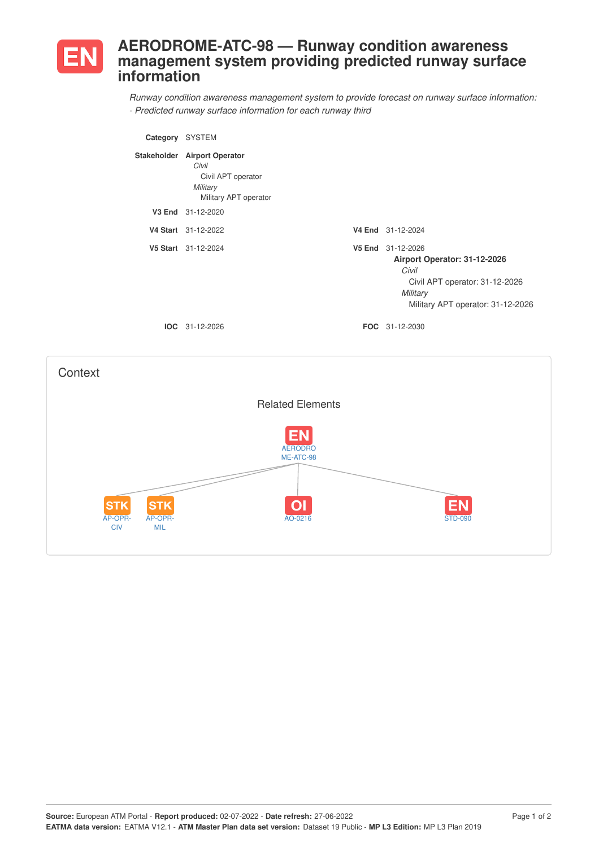

## **AERODROME-ATC-98 — Runway condition awareness management system providing predicted runway surface information**

*Runway condition awareness management system to provide forecast on runway surface information: - Predicted runway surface information for each runway third*

| Category           | SYSTEM                                                                                      |                                                                                                                                               |
|--------------------|---------------------------------------------------------------------------------------------|-----------------------------------------------------------------------------------------------------------------------------------------------|
| <b>Stakeholder</b> | <b>Airport Operator</b><br>Civil<br>Civil APT operator<br>Military<br>Military APT operator |                                                                                                                                               |
| V3 End             | 31-12-2020                                                                                  |                                                                                                                                               |
|                    | V4 Start 31-12-2022                                                                         | V4 End 31-12-2024                                                                                                                             |
|                    | V5 Start 31-12-2024                                                                         | V5 End 31-12-2026<br>Airport Operator: 31-12-2026<br>Civil<br>Civil APT operator: 31-12-2026<br>Military<br>Military APT operator: 31-12-2026 |
|                    | <b>IOC</b> 31-12-2026                                                                       | <b>FOC</b> 31-12-2030                                                                                                                         |